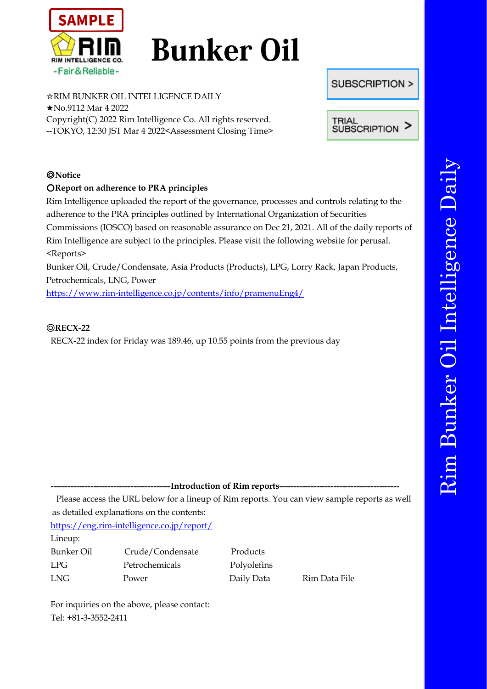

# **Bunker Oil**

☆RIM BUNKER OIL INTELLIGENCE DAILY ★No.9112 Mar 4 2022 Copyright(C) 2022 Rim Intelligence Co. All rights reserved. --TOKYO, 12:30 JST Mar 4 2022<Assessment Closing Time>

## ◎**Notice**

## ○**Report on adherence to PRA principles**

Rim Intelligence uploaded the report of the governance, processes and controls relating to the adherence to the PRA principles outlined by International Organization of Securities Commissions (IOSCO) based on reasonable assurance on Dec 21, 2021. All of the daily reports of Rim Intelligence are subject to the principles. Please visit the following website for perusal. <Reports>

Bunker Oil, Crude/Condensate, Asia Products (Products), LPG, Lorry Rack, Japan Products, Petrochemicals, LNG, Power

<https://www.rim-intelligence.co.jp/contents/info/pramenuEng4/>

#### ◎**RECX-22**

RECX-22 index for Friday was 189.46, up 10.55 points from the previous day

-**-Introduction of Rim reports---**

Please access the URL below for a lineup of Rim reports. You can view sample reports as well as detailed explanations on the contents:

<https://eng.rim-intelligence.co.jp/report/>

Lineup:

Bunker Oil Crude/Condensate Products LPG Petrochemicals Polyolefins LNG Power Daily Data Rim Data File

For inquiries on the above, please contact: Tel: +81-3-3552-2411



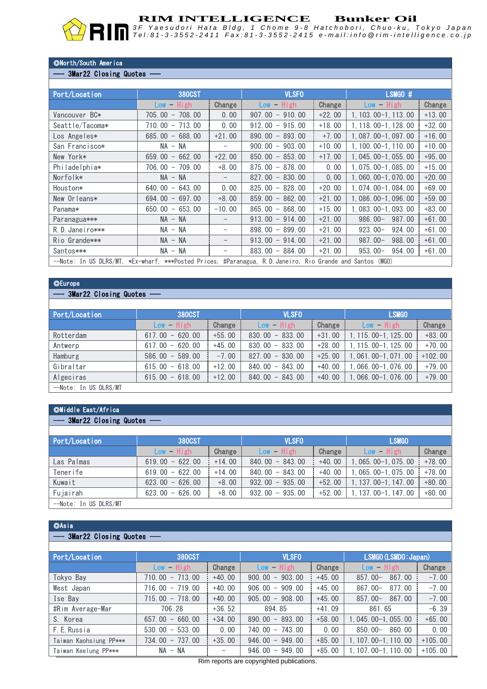

**RIM INTELLIGENCE** Bunker Oil<br>3F Yaesudori Hata Bldg, 1 Chome 9-8 Hatchobori, Chuo-ku, Tokyo Japan Tel:81-3-3552-2411 Fax:81-3-3552-2415 e-mail:info @rim-intelligence.co.jp

#### ◎North/South America

#### - 3Mar22 Closing Quotes -

| Port/Location   | <b>380CST</b>                                                                                            |                          | <b>VLSFO</b>      |          | LSMGO #               |          |  |  |
|-----------------|----------------------------------------------------------------------------------------------------------|--------------------------|-------------------|----------|-----------------------|----------|--|--|
|                 | High<br>$Low -$                                                                                          | Change                   | $Low - High$      | Change   | $Low - High$          | Change   |  |  |
| Vancouver BC*   | $705.00 - 708.00$                                                                                        | 0.00                     | $907.00 - 910.00$ | $+22.00$ | 1, 103, 00-1, 113, 00 | $+13.00$ |  |  |
| Seattle/Tacoma* | $710.00 - 713.00$                                                                                        | 0.00                     | $912,00 - 915,00$ | $+18.00$ | 1, 118, 00-1, 128, 00 | $+32.00$ |  |  |
| Los Angeles*    | $685.00 - 688.00$                                                                                        | $+21.00$                 | $890.00 - 893.00$ | $+7.00$  | 1, 087, 00-1, 097, 00 | $+16.00$ |  |  |
| San Francisco*  | $NA - NA$                                                                                                | $\overline{\phantom{m}}$ | $900.00 - 903.00$ | $+10.00$ | 1, 100, 00-1, 110, 00 | $+10.00$ |  |  |
| New York*       | $659.00 - 662.00$                                                                                        | $+22.00$                 | $850.00 - 853.00$ | $+17.00$ | 1, 045, 00-1, 055, 00 | $+95.00$ |  |  |
| Philadelphia*   | $706.00 - 709.00$                                                                                        | $+8.00$                  | $875.00 - 878.00$ | 0.00     | 1, 075, 00-1, 085, 00 | $+15.00$ |  |  |
| Norfolk*        | $NA - NA$                                                                                                |                          | $827.00 - 830.00$ | 0.00     | $1.060.00 - 1.070.00$ | $+20.00$ |  |  |
| Houston*        | $640.00 - 643.00$                                                                                        | 0.00                     | $825,00 - 828,00$ | $+20.00$ | $1.074.00 - 1.084.00$ | $+69.00$ |  |  |
| New Orleans*    | $694.00 - 697.00$                                                                                        | $+8.00$                  | $859.00 - 862.00$ | $+21.00$ | 1,086,00-1,096.00     | $+59.00$ |  |  |
| Panama*         | $650.00 - 653.00$                                                                                        | $-10.00$                 | $865.00 - 868.00$ | $+15.00$ | $1,083,00-1,093,00$   | $+83.00$ |  |  |
| Paranagua***    | $NA - NA$                                                                                                |                          | $913.00 - 914.00$ | $+21.00$ | $986.00-$<br>987.00   | $+61.00$ |  |  |
| R.D. Janeiro*** | $NA - NA$                                                                                                |                          | $898.00 - 899.00$ | $+21.00$ | $923.00-$<br>924, 00  | $+61.00$ |  |  |
| Rio Grande***   | $NA - NA$                                                                                                |                          | $913.00 - 914.00$ | $+21.00$ | $987.00 -$<br>988.00  | $+61.00$ |  |  |
| Santos***       | $NA - NA$                                                                                                |                          | $883.00 - 884.00$ | $+21.00$ | $953.00-$<br>954.00   | $+61.00$ |  |  |
|                 | --Note: In US DLRS/MT, *Ex-wharf, ***Posted Prices, #Paranagua, R.D.Janeiro, Rio Grande and Santos (MGO) |                          |                   |          |                       |          |  |  |

#### ◎Europe

#### - 3Mar22 Closing Quotes -

| Port/Location         | 380CST               |          | <b>VLSFO</b>      |          | <b>LSMGO</b>          |           |
|-----------------------|----------------------|----------|-------------------|----------|-----------------------|-----------|
|                       | $Low - High$         | Change   | $Low - High$      | Change   | $Low - High$          | Change    |
| Rotterdam             | $617.00 - 620.00$    | $+55.00$ | $830.00 - 833.00$ | $+31.00$ | 1, 115, 00-1, 125, 00 | $+83.00$  |
| Antwerp               | $617.00 - 620.00$    | $+45.00$ | $830.00 - 833.00$ | $+28.00$ | 1, 115, 00-1, 125, 00 | $+70.00$  |
| Hamburg               | $586.00 -$<br>589.00 | $-7.00$  | $827.00 - 830.00$ | $+25.00$ | 1, 061, 00-1, 071, 00 | $+102.00$ |
| Gibraltar             | $615.00 - 618.00$    | $+12.00$ | $840.00 - 843.00$ | $+40.00$ | $1,066,00-1,076,00$   | $+79.00$  |
| Algeciras             | $615.00 - 618.00$    | $+12.00$ | $840.00 - 843.00$ | $+40.00$ | 1, 066, 00-1, 076, 00 | $+79.00$  |
| --Note: In US DLRS/MT |                      |          |                   |          |                       |           |

#### ◎Middle East/Africa

## - 3Mar22 Closing Quotes -

| Port/Location         | 380CST            |          | <b>VLSFO</b>      |          | <b>LSMGO</b>              |          |
|-----------------------|-------------------|----------|-------------------|----------|---------------------------|----------|
|                       | $Low - High$      | Change   | $Low - High$      | Change   | $Low - High$              | Change   |
| Las Palmas            | $619.00 - 622.00$ | $+14.00$ | $840.00 - 843.00$ | $+40.00$ | 1, 065, 00-1, 075, 00     | $+78.00$ |
| Tenerife              | $619.00 - 622.00$ | $+14.00$ | $840.00 - 843.00$ | $+40.00$ | l, 065.00-1, 075.00       | $+78.00$ |
| Kuwait                | $623.00 - 626.00$ | $+8.00$  | $932.00 - 935.00$ | $+52.00$ | $1, 137, 00 - 1, 147, 00$ | $+80.00$ |
| Fujairah              | $623.00 - 626.00$ | $+8.00$  | $932.00 - 935.00$ | $+52.00$ | 1, 137, 00-1, 147, 00     | $+80.00$ |
| --Note: In US DLRS/MT |                   |          |                   |          |                           |          |

#### ◎Asia

#### - 3Mar22 Closing Quotes -

| Port/Location          | <b>380CST</b>                                |                   | <b>VLSFO</b>                                 |          | LSMGO (LSMDO: Japan)  |           |
|------------------------|----------------------------------------------|-------------------|----------------------------------------------|----------|-----------------------|-----------|
|                        | $Low - High$                                 | Change            | $-$ High<br><b>Low</b>                       | Change   | $Low - High$          | Change    |
| Tokyo Bay              | $710.00 - 713.00$                            | $+40.00$          | 903.00<br>900.00<br>$\qquad \qquad -$        | $+45.00$ | $857.00 -$<br>867.00  | $-7.00$   |
| West Japan             | $-719.00$<br>716.00                          | $+40.00$          | 909.00<br>906.00<br>$\overline{\phantom{m}}$ | $+45.00$ | 877.00<br>$867.00 -$  | $-7.00$   |
| Ise Bav                | $715.00 - 718.00$                            | $+40.00$          | $-908.00$<br>905.00                          | $+45.00$ | 867.00<br>$857.00 -$  | $-7.00$   |
| #Rim Average-Mar       | 706.28                                       | $+36.52$          | 894.85                                       | $+41.09$ | 861.65                | $-6.39$   |
| S. Korea               | 660.00<br>657.00<br>$\overline{\phantom{m}}$ | $+34.00$          | $890.00 - 893.00$                            | $+58.00$ | $1.045.00 - 1.055.00$ | $+65.00$  |
| F.E. Russia            | 533.00<br>530.00<br>$\overline{\phantom{m}}$ | 0.00              | 743.00<br>740, 00<br>$ \,$                   | 0.00     | 860.00<br>$850.00-$   | 0.00      |
| Taiwan Kaohsiung PP*** | 737.00<br>734.00<br>$-$                      | $+35.00$          | 949.00<br>946.00<br>$\overline{\phantom{m}}$ | $+85.00$ | $1.107.00 - 1.110.00$ | $+105.00$ |
| Taiwan Keelung PP***   | $NA - NA$                                    | $\qquad \qquad -$ | 949.00<br>946.00<br>$-$                      | $+85.00$ | $1.107.00 - 1.110.00$ | $+105.00$ |

Rim reports are copyrighted publications.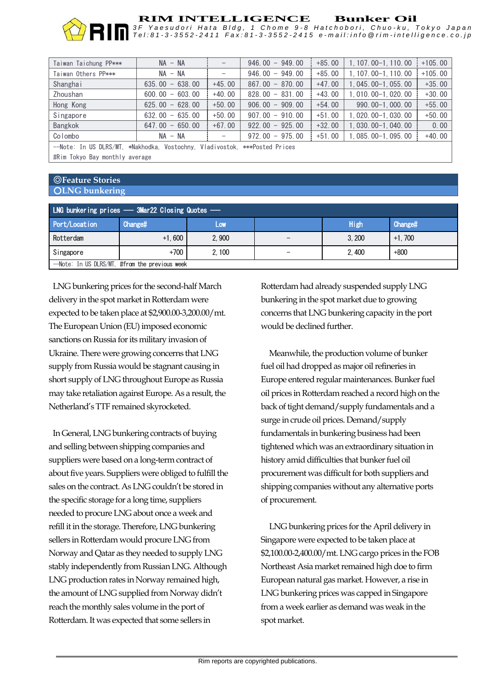

## **RIM INTELLIGENCE** Bunker Oil<br>3F Yaesudori Hata Bldg, 1 Chome 9-8 Hatchobori, Chuo-ku, Tokyo Japan

Tel:81-3-3552-2411 Fax:81-3-3552-2415 e-mail:info @rim-intelligence.co.jp

| Taiwan Taichung PP***                                                      | $NA - NA$         |          | $946.00 - 949.00$ | $+85.00$ | $1, 107, 00 - 1, 110, 00$ | $+105.00$ |  |
|----------------------------------------------------------------------------|-------------------|----------|-------------------|----------|---------------------------|-----------|--|
| Taiwan Others PP***                                                        | $NA - NA$         |          | $946.00 - 949.00$ | $+85.00$ | 1, 107, 00-1, 110, 00     | $+105.00$ |  |
| Shanghai                                                                   | $635.00 - 638.00$ | $+45.00$ | $867.00 - 870.00$ | $+47.00$ | $1, 045, 00-1, 055, 00$   | $+35.00$  |  |
| Zhoushan                                                                   | $600.00 - 603.00$ | $+40.00$ | $828.00 - 831.00$ | $+43.00$ | $1,010,00-1,020,00$       | $+30.00$  |  |
| Hong Kong                                                                  | $625.00 - 628.00$ | $+50.00$ | $906.00 - 909.00$ | $+54.00$ | 990.00-1.000.00           | $+55.00$  |  |
| Singapore                                                                  | $632.00 - 635.00$ | $+50.00$ | $907.00 - 910.00$ | $+51.00$ | $1,020.00-1,030.00$       | $+50.00$  |  |
| Bangkok                                                                    | $647.00 - 650.00$ | $+67.00$ | $922.00 - 925.00$ | $+32.00$ | $1,030,00-1,040,00$       | 0.00      |  |
| Colombo                                                                    | $NA - NA$         |          | $972.00 - 975.00$ | $+51.00$ | $1,085,00-1,095,00$       | $+40.00$  |  |
| --Note: In US DLRS/MT, *Nakhodka, Vostochny, Vladivostok, ***Posted Prices |                   |          |                   |          |                           |           |  |

#Rim Tokyo Bay monthly average

#### ◎**Feature Stories** ○**LNG bunkering**

| LNG bunkering prices - 3Mar22 Closing Quotes - |                |       |                          |       |          |  |  |
|------------------------------------------------|----------------|-------|--------------------------|-------|----------|--|--|
| Port/Location                                  | <b>Change#</b> | LOW   |                          | High  | Change#  |  |  |
| Rotterdam                                      | $+1.600$       | 2.900 |                          | 3.200 | $+1.700$ |  |  |
| Singapore                                      | $+700$         | 2.100 | $\overline{\phantom{0}}$ | 2.400 | $+800$   |  |  |
| -Note: In US DLRS/MT, #from the previous week  |                |       |                          |       |          |  |  |

LNG bunkering prices for the second-half March delivery in the spot market in Rotterdam were expected to be taken place at \$2,900.00-3,200.00/mt. The European Union (EU) imposed economic sanctions on Russia for its military invasion of Ukraine. There were growing concerns that LNG supply from Russia would be stagnant causing in short supply of LNG throughout Europe as Russia may take retaliation against Europe. As a result, the Netherland's TTF remained skyrocketed.

In General, LNG bunkering contracts of buying and selling between shipping companies and suppliers were based on a long-term contract of about five years. Suppliers were obliged to fulfill the sales on the contract. As LNG couldn't be stored in the specific storage for a long time, suppliers needed to procure LNG about once a week and refill it in the storage. Therefore, LNG bunkering sellers in Rotterdam would procure LNG from Norway and Qatar as they needed to supply LNG stably independently from Russian LNG. Although LNG production rates in Norway remained high, the amount of LNG supplied from Norway didn't reach the monthly sales volume in the port of Rotterdam. It was expected that some sellers in

Rotterdam had already suspended supply LNG bunkering in the spot market due to growing concerns that LNG bunkering capacity in the port would be declined further.

Meanwhile, the production volume of bunker fuel oil had dropped as major oil refineries in Europe entered regular maintenances. Bunker fuel oil prices in Rotterdam reached a record high on the back of tight demand/supply fundamentals and a surge in crude oil prices. Demand/supply fundamentals in bunkering business had been tightened which was an extraordinary situation in history amid difficulties that bunker fuel oil procurement was difficult for both suppliers and shipping companies without any alternative ports of procurement.

LNG bunkering prices for the April delivery in Singapore were expected to be taken place at \$2,100.00-2,400.00/mt. LNG cargo prices in the FOB Northeast Asia market remained high doe to firm European natural gas market. However, a rise in LNG bunkering prices was capped in Singapore from a week earlier as demand was weak in the spot market.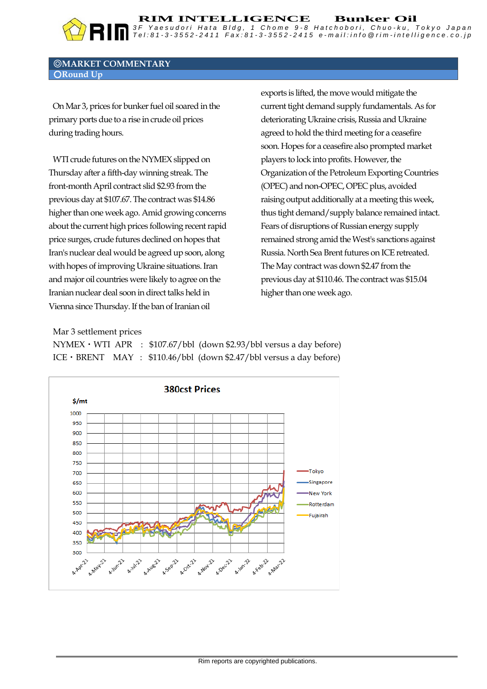#### ◎**MARKET COMMENTARY** ○**Round Up**

OnMar 3, prices for bunker fuel oil soared in the primary ports due to a rise in crude oil prices during trading hours.

WTI crude futures on the NYMEX slipped on Thursday after a fifth-day winning streak. The front-month April contract slid \$2.93 from the previous day at \$107.67. The contract was \$14.86 higher than one week ago. Amid growing concerns about the current high prices following recent rapid price surges, crude futures declined on hopes that Iran's nuclear deal would be agreed up soon, along with hopes of improving Ukraine situations. Iran and major oil countries were likely to agree on the Iranian nuclear deal soon in direct talks held in Vienna since Thursday. If the ban of Iranian oil

exports is lifted, the move would mitigate the current tight demand supply fundamentals. As for deteriorating Ukraine crisis, Russia and Ukraine agreed to hold the third meeting for a ceasefire soon. Hopes for a ceasefire also prompted market players to lock into profits. However, the Organization of the Petroleum Exporting Countries (OPEC) and non-OPEC, OPEC plus, avoided raising output additionally at a meeting this week, thus tight demand/supply balance remained intact. Fears of disruptions of Russian energy supply remained strong amid the West's sanctions against Russia. North Sea Brent futures on ICE retreated. The May contract was down \$2.47 from the previous day at \$110.46. The contract was \$15.04 higher than one week ago.

**RIM INTELLIGENCE Bunker Oil**

*3 F Y a e s u d o r i H a t a B l d g , 1 C h o m e 9 - 8 H a t c h o b o r i , C h u o - k u , T o k y o J a p a n* Tel:81-3-3552-2411 Fax:81-3-3552-2415 e-mail:info @rim-intelligence.co.jp

Mar 3 settlement prices

NYMEX・WTI APR : \$107.67/bbl (down \$2.93/bbl versus a day before) ICE・BRENT MAY : \$110.46/bbl (down \$2.47/bbl versus a day before)

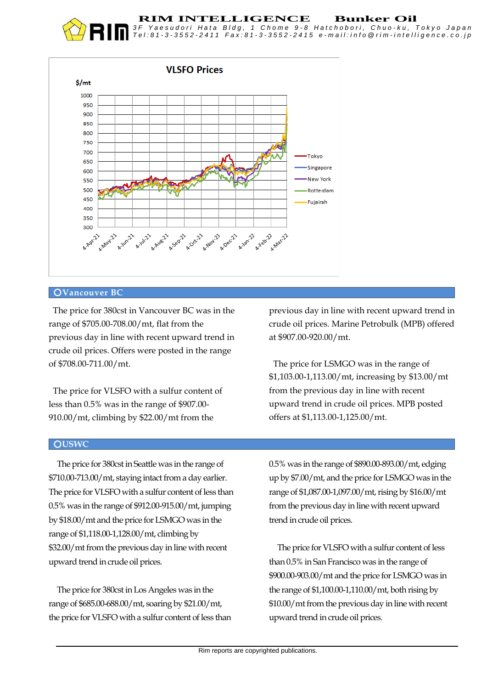#### **RIM INTELLIGENCE Bunker Oil**

*3 F Y a e s u d o r i H a t a B l d g , 1 C h o m e 9 - 8 H a t c h o b o r i , C h u o - k u , T o k y o J a p a n* Tel:81-3-3552-2411 Fax:81-3-3552-2415 e-mail:info @rim-intelligence.co.jp



#### ○**Vancouver BC**

The price for 380cst in Vancouver BC was in the range of \$705.00-708.00/mt, flat from the previous day in line with recent upward trend in crude oil prices. Offers were posted in the range of \$708.00-711.00/mt.

The price for VLSFO with a sulfur content of less than 0.5% was in the range of \$907.00- 910.00/mt, climbing by \$22.00/mt from the

#### ○**USWC**

The price for 380cst in Seattle was in the range of \$710.00-713.00/mt, staying intact from a day earlier. The price for VLSFO with a sulfur content of less than 0.5% was in the range of \$912.00-915.00/mt, jumping by \$18.00/mt and the price for LSMGO was in the range of \$1,118.00-1,128.00/mt, climbing by \$32.00/mt from the previous day in line with recent upward trend in crude oil prices.

The price for 380cst in Los Angeles was in the range of \$685.00-688.00/mt, soaring by \$21.00/mt, the price for VLSFO with a sulfur content of less than previous day in line with recent upward trend in crude oil prices. Marine Petrobulk (MPB) offered at \$907.00-920.00/mt.

The price for LSMGO was in the range of \$1,103.00-1,113.00/mt, increasing by \$13.00/mt from the previous day in line with recent upward trend in crude oil prices. MPB posted offers at \$1,113.00-1,125.00/mt.

0.5% was in the range of \$890.00-893.00/mt, edging up by \$7.00/mt, and the price for LSMGO was in the range of \$1,087.00-1,097.00/mt, rising by \$16.00/mt from the previous day in line with recent upward trend in crude oil prices.

The price for VLSFO with a sulfur content of less than 0.5% in San Francisco was in the range of \$900.00-903.00/mt and the price for LSMGO was in the range of \$1,100.00-1,110.00/mt, both rising by \$10.00/mt from the previous day in line with recent upward trend in crude oil prices.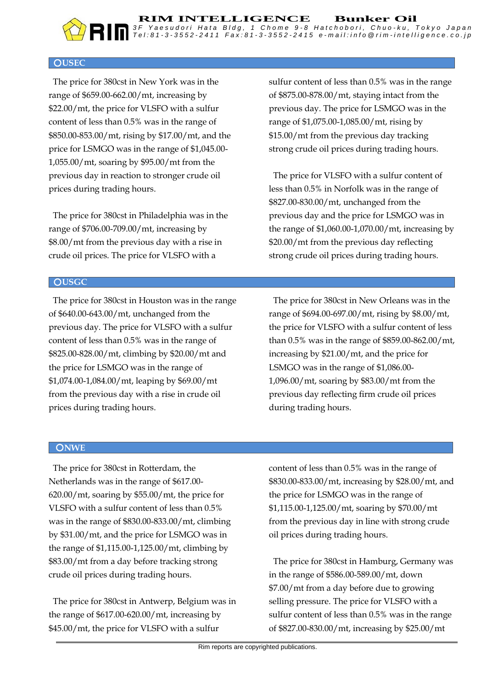#### ○**USEC**

The price for 380cst in New York was in the range of \$659.00-662.00/mt, increasing by \$22.00/mt, the price for VLSFO with a sulfur content of less than 0.5% was in the range of \$850.00-853.00/mt, rising by \$17.00/mt, and the price for LSMGO was in the range of \$1,045.00- 1,055.00/mt, soaring by \$95.00/mt from the previous day in reaction to stronger crude oil prices during trading hours.

The price for 380cst in Philadelphia was in the range of \$706.00-709.00/mt, increasing by \$8.00/mt from the previous day with a rise in crude oil prices. The price for VLSFO with a

sulfur content of less than 0.5% was in the range of \$875.00-878.00/mt, staying intact from the previous day. The price for LSMGO was in the range of \$1,075.00-1,085.00/mt, rising by \$15.00/mt from the previous day tracking strong crude oil prices during trading hours.

The price for VLSFO with a sulfur content of less than 0.5% in Norfolk was in the range of \$827.00-830.00/mt, unchanged from the previous day and the price for LSMGO was in the range of \$1,060.00-1,070.00/mt, increasing by \$20.00/mt from the previous day reflecting strong crude oil prices during trading hours.

#### ○**USGC**

The price for 380cst in Houston was in the range of \$640.00-643.00/mt, unchanged from the previous day. The price for VLSFO with a sulfur content of less than 0.5% was in the range of \$825.00-828.00/mt, climbing by \$20.00/mt and the price for LSMGO was in the range of \$1,074.00-1,084.00/mt, leaping by \$69.00/mt from the previous day with a rise in crude oil prices during trading hours.

The price for 380cst in New Orleans was in the range of \$694.00-697.00/mt, rising by \$8.00/mt, the price for VLSFO with a sulfur content of less than 0.5% was in the range of \$859.00-862.00/mt, increasing by \$21.00/mt, and the price for LSMGO was in the range of \$1,086.00- 1,096.00/mt, soaring by \$83.00/mt from the previous day reflecting firm crude oil prices during trading hours.

#### ○**NWE**

The price for 380cst in Rotterdam, the Netherlands was in the range of \$617.00- 620.00/mt, soaring by \$55.00/mt, the price for VLSFO with a sulfur content of less than 0.5% was in the range of \$830.00-833.00/mt, climbing by \$31.00/mt, and the price for LSMGO was in the range of \$1,115.00-1,125.00/mt, climbing by \$83.00/mt from a day before tracking strong crude oil prices during trading hours.

The price for 380cst in Antwerp, Belgium was in the range of \$617.00-620.00/mt, increasing by \$45.00/mt, the price for VLSFO with a sulfur

content of less than 0.5% was in the range of \$830.00-833.00/mt, increasing by \$28.00/mt, and the price for LSMGO was in the range of \$1,115.00-1,125.00/mt, soaring by \$70.00/mt from the previous day in line with strong crude oil prices during trading hours.

The price for 380cst in Hamburg, Germany was in the range of \$586.00-589.00/mt, down \$7.00/mt from a day before due to growing selling pressure. The price for VLSFO with a sulfur content of less than 0.5% was in the range of \$827.00-830.00/mt, increasing by \$25.00/mt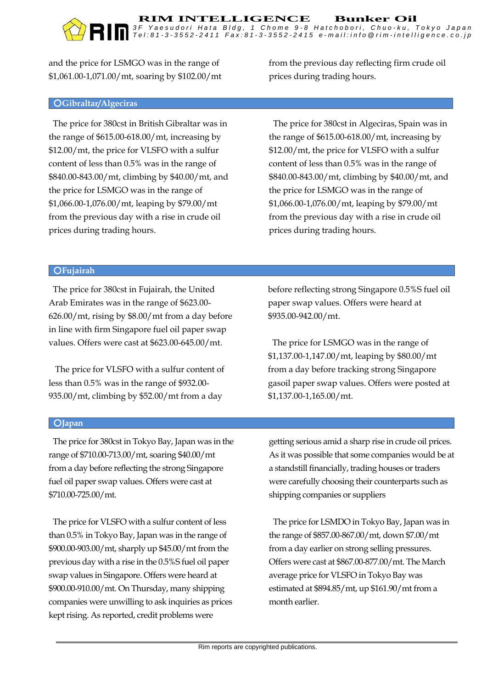and the price for LSMGO was in the range of \$1,061.00-1,071.00/mt, soaring by \$102.00/mt

#### ○**Gibraltar/Algeciras**

The price for 380cst in British Gibraltar was in the range of \$615.00-618.00/mt, increasing by \$12.00/mt, the price for VLSFO with a sulfur content of less than 0.5% was in the range of \$840.00-843.00/mt, climbing by \$40.00/mt, and the price for LSMGO was in the range of \$1,066.00-1,076.00/mt, leaping by \$79.00/mt from the previous day with a rise in crude oil prices during trading hours.

from the previous day reflecting firm crude oil prices during trading hours.

The price for 380cst in Algeciras, Spain was in the range of \$615.00-618.00/mt, increasing by \$12.00/mt, the price for VLSFO with a sulfur content of less than 0.5% was in the range of \$840.00-843.00/mt, climbing by \$40.00/mt, and the price for LSMGO was in the range of \$1,066.00-1,076.00/mt, leaping by \$79.00/mt from the previous day with a rise in crude oil prices during trading hours.

#### ○**Fujairah**

The price for 380cst in Fujairah, the United Arab Emirates was in the range of \$623.00- 626.00/mt, rising by \$8.00/mt from a day before in line with firm Singapore fuel oil paper swap values. Offers were cast at \$623.00-645.00/mt.

The price for VLSFO with a sulfur content of less than 0.5% was in the range of \$932.00- 935.00/mt, climbing by \$52.00/mt from a day

before reflecting strong Singapore 0.5%S fuel oil paper swap values. Offers were heard at \$935.00-942.00/mt.

The price for LSMGO was in the range of \$1,137.00-1,147.00/mt, leaping by \$80.00/mt from a day before tracking strong Singapore gasoil paper swap values. Offers were posted at \$1,137.00-1,165.00/mt.

#### ○**Japan**

The price for 380cst in Tokyo Bay, Japan was in the range of \$710.00-713.00/mt, soaring \$40.00/mt from a day before reflecting the strong Singapore fuel oil paper swap values. Offers were cast at \$710.00-725.00/mt.

The price for VLSFO with a sulfur content of less than 0.5% in Tokyo Bay, Japan was in the range of \$900.00-903.00/mt, sharply up \$45.00/mt from the previous day with a rise in the 0.5%S fuel oil paper swap values in Singapore. Offers were heard at \$900.00-910.00/mt. On Thursday, many shipping companies were unwilling to ask inquiries as prices kept rising. As reported, credit problems were

getting serious amid a sharp rise in crude oil prices. As it was possible that some companies would be at a standstill financially, trading houses or traders were carefully choosing their counterparts such as shipping companies or suppliers

The price for LSMDO in Tokyo Bay, Japan was in the range of \$857.00-867.00/mt, down \$7.00/mt from a day earlier on strong selling pressures. Offers were cast at \$867.00-877.00/mt. The March average price for VLSFO in Tokyo Bay was estimated at \$894.85/mt, up \$161.90/mt from a month earlier.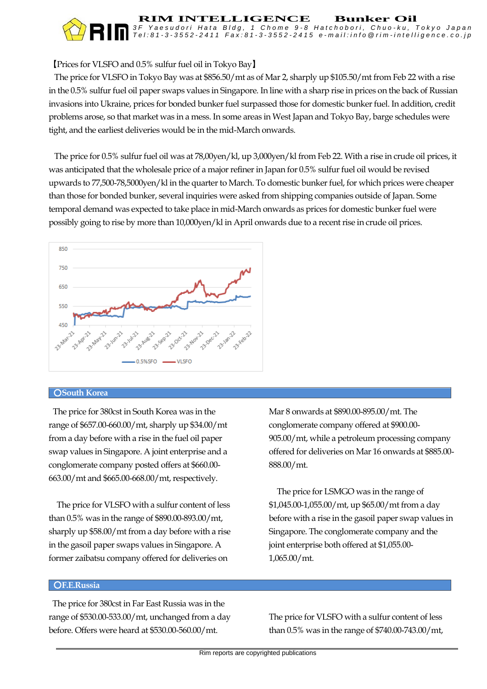## 【Prices for VLSFO and 0.5% sulfur fuel oil in Tokyo Bay】

 The price for VLSFO in Tokyo Bay was at \$856.50/mt as of Mar 2, sharply up \$105.50/mt from Feb 22 with a rise in the 0.5% sulfur fuel oil paper swaps values in Singapore. In line with a sharp rise in prices on the back of Russian invasions into Ukraine, prices for bonded bunker fuel surpassed those for domestic bunker fuel. In addition, credit problems arose, so that market was in a mess. In some areas in West Japan and Tokyo Bay, barge schedules were tight, and the earliest deliveries would be in the mid-March onwards.

**RIM INTELLIGENCE Bunker Oil**

*3 F Y a e s u d o r i H a t a B l d g , 1 C h o m e 9 - 8 H a t c h o b o r i , C h u o - k u , T o k y o J a p a n* Tel:81-3-3552-2411 Fax:81-3-3552-2415 e-mail:info @rim-intelligence.co.jp

 The price for 0.5% sulfur fuel oil was at 78,00yen/kl, up 3,000yen/kl from Feb 22. With a rise in crude oil prices, it was anticipated that the wholesale price of a major refiner in Japan for 0.5% sulfur fuel oil would be revised upwards to 77,500-78,5000yen/kl in the quarter to March. To domestic bunker fuel, for which prices were cheaper than those for bonded bunker, several inquiries were asked from shipping companies outside of Japan. Some temporal demand was expected to take place in mid-March onwards as prices for domestic bunker fuel were possibly going to rise by more than 10,000yen/kl in April onwards due to a recent rise in crude oil prices.



#### ○**South Korea**

The price for 380cst in South Korea was in the range of \$657.00-660.00/mt, sharply up \$34.00/mt from a day before with a rise in the fuel oil paper swap values in Singapore. A joint enterprise and a conglomerate company posted offers at \$660.00- 663.00/mt and \$665.00-668.00/mt, respectively.

 The price for VLSFO with a sulfur content of less than 0.5% was in the range of \$890.00-893.00/mt, sharply up \$58.00/mt from a day before with a rise in the gasoil paper swaps values in Singapore. A former zaibatsu company offered for deliveries on

Mar 8 onwards at \$890.00-895.00/mt. The conglomerate company offered at \$900.00- 905.00/mt, while a petroleum processing company offered for deliveries on Mar 16 onwards at \$885.00- 888.00/mt.

 The price for LSMGO was in the range of \$1,045.00-1,055.00/mt, up \$65.00/mt from a day before with a rise in the gasoil paper swap values in Singapore. The conglomerate company and the joint enterprise both offered at \$1,055.00- 1,065.00/mt.

#### ○**F.E.Russia**

 The price for 380cst in Far East Russia was in the range of \$530.00-533.00/mt, unchanged from a day before. Offers were heard at \$530.00-560.00/mt.

The price for VLSFO with a sulfur content of less than 0.5% was in the range of \$740.00-743.00/mt,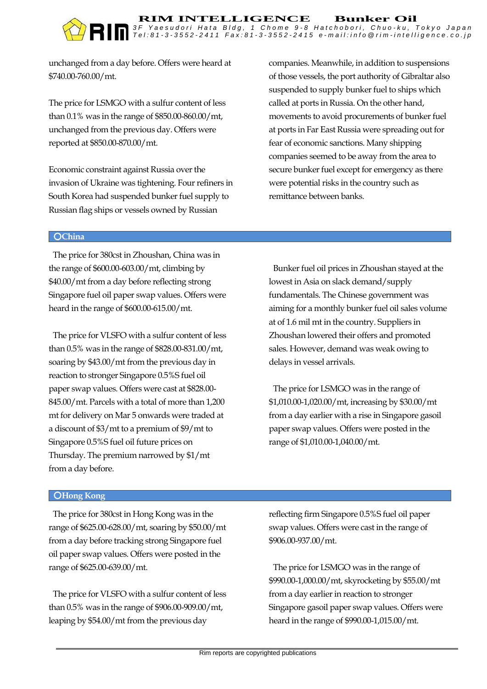unchanged from a day before. Offers were heard at \$740.00-760.00/mt.

The price for LSMGO with a sulfur content of less than 0.1% was in the range of \$850.00-860.00/mt, unchanged from the previous day. Offers were reported at \$850.00-870.00/mt.

Economic constraint against Russia over the invasion of Ukraine was tightening. Four refiners in South Korea had suspended bunker fuel supply to Russian flag ships or vessels owned by Russian

companies. Meanwhile, in addition to suspensions of those vessels, the port authority of Gibraltar also suspended to supply bunker fuel to ships which called at ports in Russia. On the other hand, movements to avoid procurements of bunker fuel at ports in Far East Russia were spreading out for fear of economic sanctions. Many shipping companies seemed to be away from the area to secure bunker fuel except for emergency as there were potential risks in the country such as remittance between banks.

#### ○**China**

The price for 380cst in Zhoushan, China was in the range of \$600.00-603.00/mt, climbing by \$40.00/mt from a day before reflecting strong Singapore fuel oil paper swap values. Offers were heard in the range of \$600.00-615.00/mt.

The price for VLSFO with a sulfur content of less than 0.5% was in the range of \$828.00-831.00/mt, soaring by \$43.00/mt from the previous day in reaction to stronger Singapore 0.5%S fuel oil paper swap values. Offers were cast at \$828.00- 845.00/mt. Parcels with a total of more than 1,200 mt for delivery on Mar 5 onwards were traded at a discount of \$3/mt to a premium of \$9/mt to Singapore 0.5%S fuel oil future prices on Thursday. The premium narrowed by \$1/mt from a day before.

Bunker fuel oil prices in Zhoushan stayed at the lowest in Asia on slack demand/supply fundamentals. The Chinese government was aiming for a monthly bunker fuel oil sales volume at of 1.6 mil mt in the country. Suppliers in Zhoushan lowered their offers and promoted sales. However, demand was weak owing to delays in vessel arrivals.

The price for LSMGO was in the range of \$1,010.00-1,020.00/mt, increasing by \$30.00/mt from a day earlier with a rise in Singapore gasoil paper swap values. Offers were posted in the range of \$1,010.00-1,040.00/mt.

#### ○**Hong Kong**

The price for 380cst in Hong Kong was in the range of \$625.00-628.00/mt, soaring by \$50.00/mt from a day before tracking strong Singapore fuel oil paper swap values. Offers were posted in the range of \$625.00-639.00/mt.

The price for VLSFO with a sulfur content of less than 0.5% was in the range of \$906.00-909.00/mt, leaping by \$54.00/mt from the previous day

reflecting firm Singapore 0.5%S fuel oil paper swap values. Offers were cast in the range of \$906.00-937.00/mt.

The price for LSMGO was in the range of \$990.00-1,000.00/mt, skyrocketing by \$55.00/mt from a day earlier in reaction to stronger Singapore gasoil paper swap values. Offers were heard in the range of \$990.00-1,015.00/mt.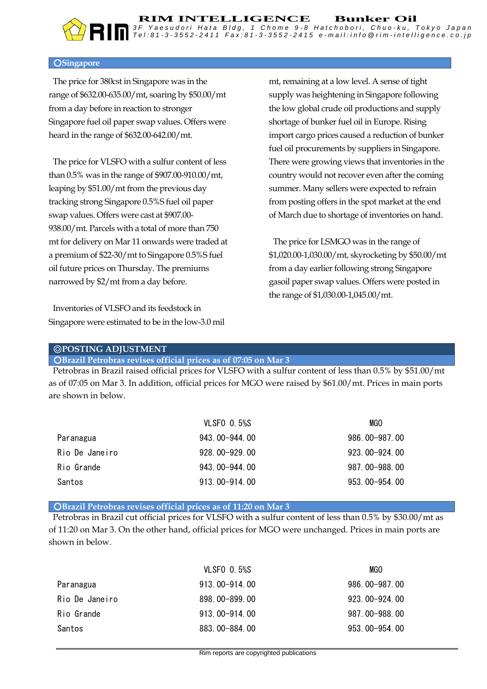#### ○**Singapore**

The price for 380cst in Singapore was in the range of \$632.00-635.00/mt, soaring by \$50.00/mt from a day before in reaction to stronger Singapore fuel oil paper swap values. Offers were heard in the range of \$632.00-642.00/mt.

The price for VLSFO with a sulfur content of less than 0.5% was in the range of \$907.00-910.00/mt, leaping by \$51.00/mt from the previous day tracking strong Singapore 0.5%S fuel oil paper swap values. Offers were cast at \$907.00- 938.00/mt. Parcels with a total of more than 750 mt for delivery on Mar 11 onwards were traded at a premium of \$22-30/mt to Singapore 0.5%S fuel oil future prices on Thursday. The premiums narrowed by \$2/mt from a day before.

Inventories of VLSFO and its feedstock in Singapore were estimated to be in the low-3.0 mil

mt, remaining at a low level. A sense of tight supply was heightening in Singapore following the low global crude oil productions and supply shortage of bunker fuel oil in Europe. Rising import cargo prices caused a reduction of bunker fuel oil procurements by suppliers in Singapore. There were growing views that inventories in the country would not recover even after the coming summer. Many sellers were expected to refrain from posting offers in the spot market at the end of March due to shortage of inventories on hand.

The price for LSMGO was in the range of \$1,020.00-1,030.00/mt, skyrocketing by \$50.00/mt from a day earlier following strong Singapore gasoil paper swap values. Offers were posted in the range of \$1,030.00-1,045.00/mt.

#### ◎**POSTING ADJUSTMENT**

○**Brazil Petrobras revises official prices as of 07:05 on Mar 3**

Petrobras in Brazil raised official prices for VLSFO with a sulfur content of less than 0.5% by \$51.00/mt as of 07:05 on Mar 3. In addition, official prices for MGO were raised by \$61.00/mt. Prices in main ports are shown in below.

|                | <b>VLSFO 0.5%S</b> | MGO             |
|----------------|--------------------|-----------------|
| Paranagua      | 943, 00-944, 00    | 986, 00-987, 00 |
| Rio De Janeiro | $928.00 - 929.00$  | 923.00-924.00   |
| Rio Grande     | 943, 00-944, 00    | 987.00-988.00   |
| Santos         | 913.00-914.00      | 953, 00-954, 00 |

○**Brazil Petrobras revises official prices as of 11:20 on Mar 3**

Petrobras in Brazil cut official prices for VLSFO with a sulfur content of less than 0.5% by \$30.00/mt as of 11:20 on Mar 3. On the other hand, official prices for MGO were unchanged. Prices in main ports are shown in below.

|                | <b>VLSFO 0.5%S</b> | MGO             |
|----------------|--------------------|-----------------|
| Paranagua      | 913, 00-914, 00    | 986, 00-987, 00 |
| Rio De Janeiro | $898,00 - 899,00$  | 923, 00-924, 00 |
| Rio Grande     | 913, 00-914, 00    | 987.00-988.00   |
| Santos         | 883.00-884.00      | 953.00-954.00   |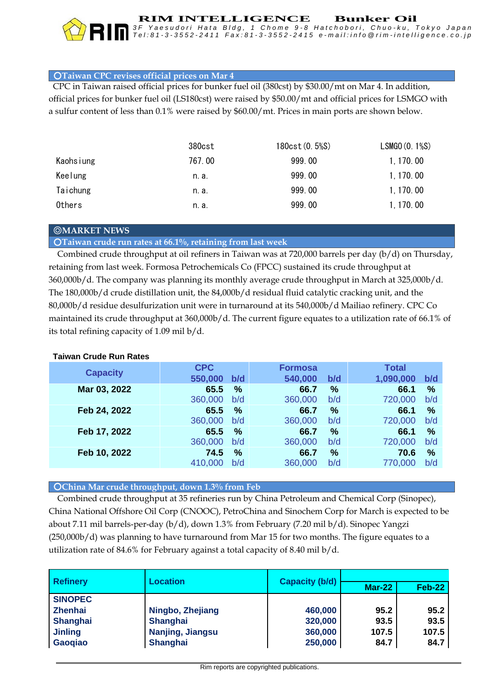

**RIM INTELLIGENCE Bunker Oil** *3 F Y a e s u d o r i H a t a B l d g , 1 C h o m e 9 - 8 H a t c h o b o r i , C h u o - k u , T o k y o J a p a n*

#### ○**Taiwan CPC revises official prices on Mar 4**

CPC in Taiwan raised official prices for bunker fuel oil (380cst) by \$30.00/mt on Mar 4. In addition, official prices for bunker fuel oil (LS180cst) were raised by \$50.00/mt and official prices for LSMGO with a sulfur content of less than 0.1% were raised by \$60.00/mt. Prices in main ports are shown below.

|           | 380cst | 180cst (0.5%S) | LSMGO (0.1%S) |
|-----------|--------|----------------|---------------|
| Kaohsiung | 767.00 | 999.00         | 1, 170, 00    |
| Keelung   | n. a.  | 999.00         | 1, 170, 00    |
| Taichung  | n. a.  | 999.00         | 1, 170, 00    |
| Others    | n. a.  | 999.00         | 1, 170, 00    |

#### ◎**MARKET NEWS**

○**Taiwan crude run rates at 66.1%, retaining from last week**

Combined crude throughput at oil refiners in Taiwan was at 720,000 barrels per day (b/d) on Thursday, retaining from last week. Formosa Petrochemicals Co (FPCC) sustained its crude throughput at **figure equates to a utilization rate of 80.3% of the nation's total refining capacity of 1.39 mil b/d,**  360,000b/d. The company was planning its monthly average crude throughput in March at 325,000b/d. **unchanged percentage point from last week.** The 180,000b/d crude distillation unit, the 84,000b/d residual fluid catalytic cracking unit, and the 80,000b/d residue desulfurization unit were in turnaround at its 540,000b/d Mailiao refinery. CPC Co maintained its crude throughput at 360,000b/d. The current figure equates to a utilization rate of 66.1% of its total refining capacity of 1.09 mil b/d.

#### **Taiwan Crude Run Rates**

| <b>Capacity</b> | <b>CPC</b> |      | <b>Formosa</b> |               | <b>Total</b> |               |
|-----------------|------------|------|----------------|---------------|--------------|---------------|
|                 | 550,000    | b/d  | 540,000        | b/d           | 1,090,000    | b/d           |
| Mar 03, 2022    | 65.5       | %    | 66.7           | %             | 66.1         | %             |
|                 | 360,000    | b/d  | 360,000        | b/d           | 720,000      | b/d           |
| Feb 24, 2022    | 65.5       | $\%$ | 66.7           | %             | 66.1         | %             |
|                 | 360,000    | b/d  | 360,000        | b/d           | 720,000      | b/d           |
| Feb 17, 2022    | 65.5       | %    | 66.7           | %             | 66.1         | %             |
|                 | 360,000    | b/d  | 360,000        | b/d           | 720,000      | b/d           |
| Feb 10, 2022    | 74.5       | %    | 66.7           | $\frac{9}{6}$ | 70.6         | $\frac{0}{0}$ |
|                 | 410,000    | b/d  | 360,000        | b/d           | 770,000      | b/d           |

#### ○**China Mar crude throughput, down 1.3% from Feb**

 Combined crude throughput at 35 refineries run by China Petroleum and Chemical Corp (Sinopec), China National Offshore Oil Corp (CNOOC), PetroChina and Sinochem Corp for March is expected to be about 7.11 mil barrels-per-day (b/d), down 1.3% from February (7.20 mil b/d). Sinopec Yangzi (250,000b/d) was planning to have turnaround from Mar 15 for two months. The figure equates to a utilization rate of 84.6% for February against a total capacity of 8.40 mil b/d.

| <b>Refinery</b> | Location         | <b>Capacity (b/d)</b> |               |        |  |
|-----------------|------------------|-----------------------|---------------|--------|--|
|                 |                  |                       | <b>Mar-22</b> | Feb-22 |  |
| <b>SINOPEC</b>  |                  |                       |               |        |  |
| <b>Zhenhai</b>  | Ningbo, Zhejiang | 460,000               | 95.2          | 95.2   |  |
| <b>Shanghai</b> | <b>Shanghai</b>  | 320,000               | 93.5          | 93.5   |  |
| <b>Jinling</b>  | Nanjing, Jiangsu | 360,000               | 107.5         | 107.5  |  |
| <b>Gaogiao</b>  | <b>Shanghai</b>  | 250,000               | 84.7          | 84.7   |  |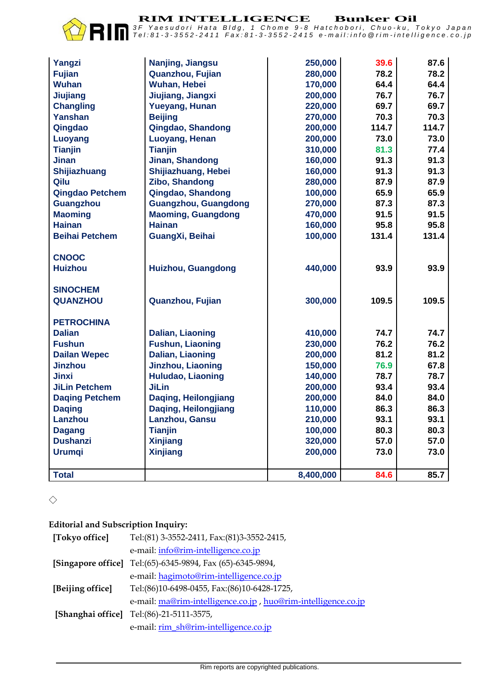**RIM INTELLIGENCE** Bunker Oil<br>3F Yaesudori Hata Bldg, 1 Chome 9-8 Hatchobori, Chuo-ku, Tokyo Japan Tel:81-3-3552-2411 Fax:81-3-3552-2415 e-mail:info @rim-intelligence.co.jp

| Yangzi                 | Nanjing, Jiangsu            | 250,000   | 39.6  | 87.6  |
|------------------------|-----------------------------|-----------|-------|-------|
| <b>Fujian</b>          | Quanzhou, Fujian            | 280,000   | 78.2  | 78.2  |
| <b>Wuhan</b>           | <b>Wuhan, Hebei</b>         | 170,000   | 64.4  | 64.4  |
| Jiujiang               | Jiujiang, Jiangxi           | 200,000   | 76.7  | 76.7  |
| <b>Changling</b>       | <b>Yueyang, Hunan</b>       | 220,000   | 69.7  | 69.7  |
| <b>Yanshan</b>         | <b>Beijing</b>              | 270,000   | 70.3  | 70.3  |
| Qingdao                | Qingdao, Shandong           | 200,000   | 114.7 | 114.7 |
| Luoyang                | Luoyang, Henan              | 200,000   | 73.0  | 73.0  |
| <b>Tianjin</b>         | <b>Tianjin</b>              | 310,000   | 81.3  | 77.4  |
| <b>Jinan</b>           | Jinan, Shandong             | 160,000   | 91.3  | 91.3  |
| Shijiazhuang           | Shijiazhuang, Hebei         | 160,000   | 91.3  | 91.3  |
| Qilu                   | Zibo, Shandong              | 280,000   | 87.9  | 87.9  |
| <b>Qingdao Petchem</b> | Qingdao, Shandong           | 100,000   | 65.9  | 65.9  |
| <b>Guangzhou</b>       | <b>Guangzhou, Guangdong</b> | 270,000   | 87.3  | 87.3  |
| <b>Maoming</b>         | <b>Maoming, Guangdong</b>   | 470,000   | 91.5  | 91.5  |
| <b>Hainan</b>          | <b>Hainan</b>               | 160,000   | 95.8  | 95.8  |
| <b>Beihai Petchem</b>  | GuangXi, Beihai             | 100,000   | 131.4 | 131.4 |
|                        |                             |           |       |       |
| <b>CNOOC</b>           |                             |           |       |       |
| <b>Huizhou</b>         | Huizhou, Guangdong          | 440,000   | 93.9  | 93.9  |
|                        |                             |           |       |       |
| <b>SINOCHEM</b>        |                             |           |       |       |
| <b>QUANZHOU</b>        | Quanzhou, Fujian            | 300,000   | 109.5 | 109.5 |
|                        |                             |           |       |       |
| <b>PETROCHINA</b>      |                             |           |       |       |
| <b>Dalian</b>          | Dalian, Liaoning            | 410,000   | 74.7  | 74.7  |
| <b>Fushun</b>          | <b>Fushun, Liaoning</b>     | 230,000   | 76.2  | 76.2  |
| <b>Dailan Wepec</b>    | <b>Dalian, Liaoning</b>     | 200,000   | 81.2  | 81.2  |
| <b>Jinzhou</b>         | Jinzhou, Liaoning           | 150,000   | 76.9  | 67.8  |
| <b>Jinxi</b>           | <b>Huludao, Liaoning</b>    | 140,000   | 78.7  | 78.7  |
| <b>JiLin Petchem</b>   | <b>JiLin</b>                | 200,000   | 93.4  | 93.4  |
| <b>Daqing Petchem</b>  | Daging, Heilongjiang        | 200,000   | 84.0  | 84.0  |
| <b>Daging</b>          | Daqing, Heilongjiang        | 110,000   | 86.3  | 86.3  |
| Lanzhou                | Lanzhou, Gansu              | 210,000   | 93.1  | 93.1  |
| <b>Dagang</b>          | <b>Tianjin</b>              | 100,000   | 80.3  | 80.3  |
| <b>Dushanzi</b>        | <b>Xinjiang</b>             | 320,000   | 57.0  | 57.0  |
| <b>Urumqi</b>          | <b>Xinjiang</b>             | 200,000   | 73.0  | 73.0  |
|                        |                             |           |       |       |
| <b>Total</b>           |                             | 8,400,000 | 84.6  | 85.7  |

 $\Diamond$ 

#### **Editorial and Subscription Inquiry:**

| [Tokyo office]   | Tel:(81) 3-3552-2411, Fax:(81)3-3552-2415,                    |
|------------------|---------------------------------------------------------------|
|                  | e-mail: info@rim-intelligence.co.jp                           |
|                  | [Singapore office] Tel:(65)-6345-9894, Fax (65)-6345-9894,    |
|                  | e-mail: hagimoto@rim-intelligence.co.jp                       |
| [Beijing office] | Tel:(86)10-6498-0455, Fax:(86)10-6428-1725,                   |
|                  | e-mail: ma@rim-intelligence.co.jp, huo@rim-intelligence.co.jp |
|                  | [Shanghai office] Tel:(86)-21-5111-3575,                      |
|                  | e-mail: rim_sh@rim-intelligence.co.jp                         |